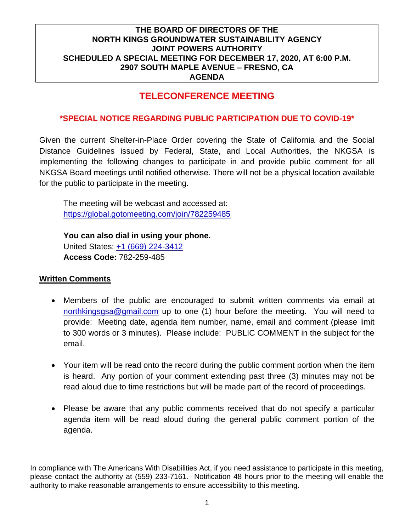## **TELECONFERENCE MEETING**

### **\*SPECIAL NOTICE REGARDING PUBLIC PARTICIPATION DUE TO COVID-19\***

Given the current Shelter-in-Place Order covering the State of California and the Social Distance Guidelines issued by Federal, State, and Local Authorities, the NKGSA is implementing the following changes to participate in and provide public comment for all NKGSA Board meetings until notified otherwise. There will not be a physical location available for the public to participate in the meeting.

The meeting will be webcast and accessed at: <https://global.gotomeeting.com/join/782259485>

**You can also dial in using your phone.**  United States: [+1 \(669\) 224-3412](tel:+16692243412,,782259485) **Access Code:** 782-259-485

### **Written Comments**

- Members of the public are encouraged to submit written comments via email at [northkingsgsa@gmail.com](mailto:northkingsgsa@gmail.com) up to one (1) hour before the meeting. You will need to provide: Meeting date, agenda item number, name, email and comment (please limit to 300 words or 3 minutes). Please include: PUBLIC COMMENT in the subject for the email.
- Your item will be read onto the record during the public comment portion when the item is heard. Any portion of your comment extending past three (3) minutes may not be read aloud due to time restrictions but will be made part of the record of proceedings.
- Please be aware that any public comments received that do not specify a particular agenda item will be read aloud during the general public comment portion of the agenda.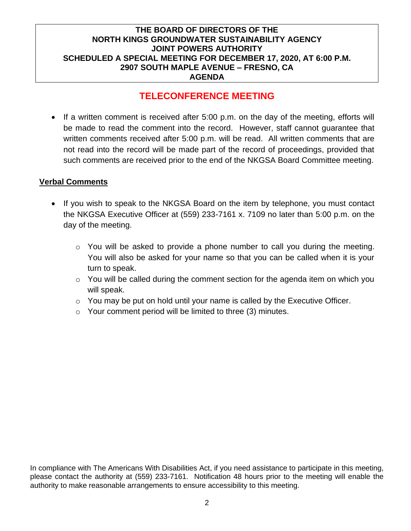## **TELECONFERENCE MEETING**

• If a written comment is received after 5:00 p.m. on the day of the meeting, efforts will be made to read the comment into the record. However, staff cannot guarantee that written comments received after 5:00 p.m. will be read. All written comments that are not read into the record will be made part of the record of proceedings, provided that such comments are received prior to the end of the NKGSA Board Committee meeting.

### **Verbal Comments**

- If you wish to speak to the NKGSA Board on the item by telephone, you must contact the NKGSA Executive Officer at (559) 233-7161 x. 7109 no later than 5:00 p.m. on the day of the meeting.
	- o You will be asked to provide a phone number to call you during the meeting. You will also be asked for your name so that you can be called when it is your turn to speak.
	- $\circ$  You will be called during the comment section for the agenda item on which you will speak.
	- $\circ$  You may be put on hold until your name is called by the Executive Officer.
	- o Your comment period will be limited to three (3) minutes.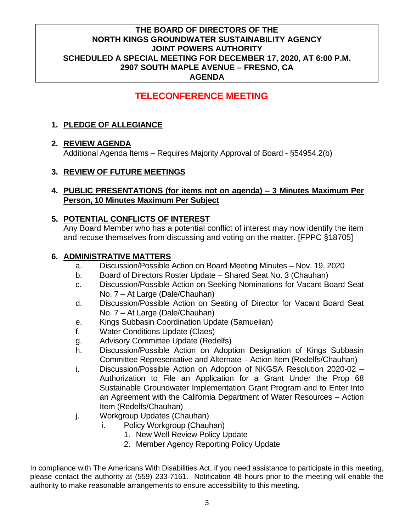## **TELECONFERENCE MEETING**

## **1. PLEDGE OF ALLEGIANCE**

## **2. REVIEW AGENDA**

Additional Agenda Items – Requires Majority Approval of Board - §54954.2(b)

## **3. REVIEW OF FUTURE MEETINGS**

### **4. PUBLIC PRESENTATIONS (for items not on agenda) – 3 Minutes Maximum Per Person, 10 Minutes Maximum Per Subject**

## **5. POTENTIAL CONFLICTS OF INTEREST**

Any Board Member who has a potential conflict of interest may now identify the item and recuse themselves from discussing and voting on the matter. [FPPC §18705]

### **6. ADMINISTRATIVE MATTERS**

- a. Discussion/Possible Action on Board Meeting Minutes Nov. 19, 2020
- b. Board of Directors Roster Update Shared Seat No. 3 (Chauhan)
- c. Discussion/Possible Action on Seeking Nominations for Vacant Board Seat No. 7 – At Large (Dale/Chauhan)
- d. Discussion/Possible Action on Seating of Director for Vacant Board Seat No. 7 – At Large (Dale/Chauhan)
- e. Kings Subbasin Coordination Update (Samuelian)
- f. Water Conditions Update (Claes)
- g. Advisory Committee Update (Redelfs)
- h. Discussion/Possible Action on Adoption Designation of Kings Subbasin Committee Representative and Alternate – Action Item (Redelfs/Chauhan)
- i. Discussion/Possible Action on Adoption of NKGSA Resolution 2020-02 Authorization to File an Application for a Grant Under the Prop 68 Sustainable Groundwater Implementation Grant Program and to Enter Into an Agreement with the California Department of Water Resources – Action Item (Redelfs/Chauhan)
- j. Workgroup Updates (Chauhan)
	- i. Policy Workgroup (Chauhan)
		- 1. New Well Review Policy Update
		- 2. Member Agency Reporting Policy Update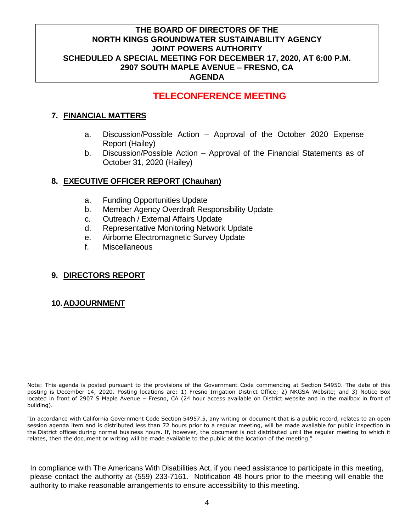## **TELECONFERENCE MEETING**

## **7. FINANCIAL MATTERS**

- a. Discussion/Possible Action Approval of the October 2020 Expense Report (Hailey)
- b. Discussion/Possible Action Approval of the Financial Statements as of October 31, 2020 (Hailey)

## **8. EXECUTIVE OFFICER REPORT (Chauhan)**

- a. Funding Opportunities Update
- b. Member Agency Overdraft Responsibility Update
- c. Outreach / External Affairs Update
- d. Representative Monitoring Network Update
- e. Airborne Electromagnetic Survey Update
- f. Miscellaneous

## **9. DIRECTORS REPORT**

### **10.ADJOURNMENT**

Note: This agenda is posted pursuant to the provisions of the Government Code commencing at Section 54950. The date of this posting is December 14, 2020. Posting locations are: 1) Fresno Irrigation District Office; 2) NKGSA Website; and 3) Notice Box located in front of 2907 S Maple Avenue – Fresno, CA (24 hour access available on District website and in the mailbox in front of building).

"In accordance with California Government Code Section 54957.5, any writing or document that is a public record, relates to an open session agenda item and is distributed less than 72 hours prior to a regular meeting, will be made available for public inspection in the District offices during normal business hours. If, however, the document is not distributed until the regular meeting to which it relates, then the document or writing will be made available to the public at the location of the meeting."